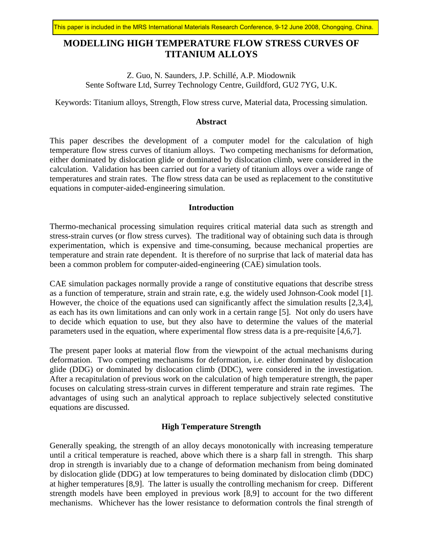# **MODELLING HIGH TEMPERATURE FLOW STRESS CURVES OF TITANIUM ALLOYS**

Z. Guo, N. Saunders, J.P. Schillé, A.P. Miodownik Sente Software Ltd, Surrey Technology Centre, Guildford, GU2 7YG, U.K.

Keywords: Titanium alloys, Strength, Flow stress curve, Material data, Processing simulation.

# **Abstract**

This paper describes the development of a computer model for the calculation of high temperature flow stress curves of titanium alloys. Two competing mechanisms for deformation, either dominated by dislocation glide or dominated by dislocation climb, were considered in the calculation. Validation has been carried out for a variety of titanium alloys over a wide range of temperatures and strain rates. The flow stress data can be used as replacement to the constitutive equations in computer-aided-engineering simulation.

## **Introduction**

Thermo-mechanical processing simulation requires critical material data such as strength and stress-strain curves (or flow stress curves). The traditional way of obtaining such data is through experimentation, which is expensive and time-consuming, because mechanical properties are temperature and strain rate dependent. It is therefore of no surprise that lack of material data has been a common problem for computer-aided-engineering (CAE) simulation tools.

CAE simulation packages normally provide a range of constitutive equations that describe stress as a function of temperature, strain and strain rate, e.g. the widely used Johnson-Cook model [1]. However, the choice of the equations used can significantly affect the simulation results [2,3,4], as each has its own limitations and can only work in a certain range [5]. Not only do users have to decide which equation to use, but they also have to determine the values of the material parameters used in the equation, where experimental flow stress data is a pre-requisite [4,6,7].

The present paper looks at material flow from the viewpoint of the actual mechanisms during deformation. Two competing mechanisms for deformation, i.e. either dominated by dislocation glide (DDG) or dominated by dislocation climb (DDC), were considered in the investigation. After a recapitulation of previous work on the calculation of high temperature strength, the paper focuses on calculating stress-strain curves in different temperature and strain rate regimes. The advantages of using such an analytical approach to replace subjectively selected constitutive equations are discussed.

## **High Temperature Strength**

Generally speaking, the strength of an alloy decays monotonically with increasing temperature until a critical temperature is reached, above which there is a sharp fall in strength. This sharp drop in strength is invariably due to a change of deformation mechanism from being dominated by dislocation glide (DDG) at low temperatures to being dominated by dislocation climb (DDC) at higher temperatures [8,9]. The latter is usually the controlling mechanism for creep. Different strength models have been employed in previous work [8,9] to account for the two different mechanisms. Whichever has the lower resistance to deformation controls the final strength of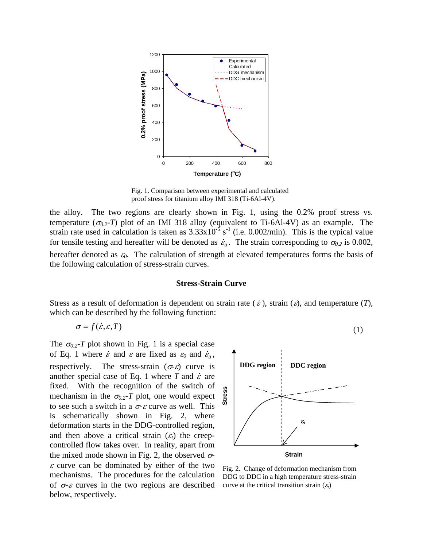

Fig. 1. Comparison between experimental and calculated proof stress for titanium alloy IMI 318 (Ti-6Al-4V).

the alloy. The two regions are clearly shown in Fig. 1, using the 0.2% proof stress vs. temperature  $(\sigma_{0.2} - T)$  plot of an IMI 318 alloy (equivalent to Ti-6Al-4V) as an example. The strain rate used in calculation is taken as  $3.33 \times 10^{-5}$  s<sup>-1</sup> (i.e. 0.002/min). This is the typical value for tensile testing and hereafter will be denoted as  $\dot{\varepsilon}_0$ . The strain corresponding to  $\sigma_{0.2}$  is 0.002, hereafter denoted as <sup>ε</sup>*0*. The calculation of strength at elevated temperatures forms the basis of the following calculation of stress-strain curves.

## **Stress-Strain Curve**

Stress as a result of deformation is dependent on strain rate  $(\dot{\varepsilon})$ , strain  $(\varepsilon)$ , and temperature  $(T)$ , which can be described by the following function:

$$
\sigma = f(\dot{\varepsilon}, \varepsilon, T) \tag{1}
$$

The  $\sigma_{0.2}$ -*T* plot shown in Fig. 1 is a special case of Eq. 1 where  $\dot{\varepsilon}$  and  $\varepsilon$  are fixed as  $\varepsilon_0$  and  $\dot{\varepsilon}_0$ , respectively. The stress-strain ( $\sigma$ - $\varepsilon$ ) curve is another special case of Eq. 1 where  $T$  and  $\dot{\varepsilon}$  are fixed. With the recognition of the switch of mechanism in the  $\sigma_{0.2}$ -*T* plot, one would expect to see such a switch in a  $\sigma$ - $\varepsilon$  curve as well. This is schematically shown in Fig. 2, where deformation starts in the DDG-controlled region, and then above a critical strain  $(\varepsilon_t)$  the creepcontrolled flow takes over. In reality, apart from the mixed mode shown in Fig. 2, the observed  $\sigma$ - $\varepsilon$  curve can be dominated by either of the two mechanisms. The procedures for the calculation of  $\sigma$ - $\varepsilon$  curves in the two regions are described below, respectively.



Fig. 2. Change of deformation mechanism from DDG to DDC in a high temperature stress-strain curve at the critical transition strain  $(\varepsilon_t)$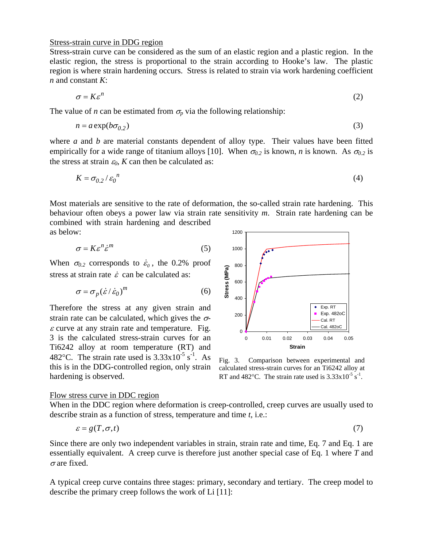## Stress-strain curve in DDG region

Stress-strain curve can be considered as the sum of an elastic region and a plastic region. In the elastic region, the stress is proportional to the strain according to Hooke's law. The plastic region is where strain hardening occurs. Stress is related to strain via work hardening coefficient *n* and constant *K*:

$$
\sigma = K \varepsilon^n \tag{2}
$$

The value of *n* can be estimated from  $\sigma_p$  via the following relationship:

$$
n = a \exp(b \sigma_{0.2}) \tag{3}
$$

where *a* and *b* are material constants dependent of alloy type. Their values have been fitted empirically for a wide range of titanium alloys [10]. When  $\sigma_{0.2}$  is known, *n* is known. As  $\sigma_{0.2}$  is the stress at strain  $\varepsilon_0$ , *K* can then be calculated as:

$$
K = \sigma_{0.2} / \varepsilon_0^{\ n} \tag{4}
$$

Most materials are sensitive to the rate of deformation, the so-called strain rate hardening. This behaviour often obeys a power law via strain rate sensitivity *m*. Strain rate hardening can be combined with strain hardening and described

as below:

$$
\sigma = K \varepsilon^n \dot{\varepsilon}^m \tag{5}
$$

When  $\sigma_{0.2}$  corresponds to  $\dot{\epsilon}_0$ , the 0.2% proof stress at strain rate  $\dot{\varepsilon}$  can be calculated as:

$$
\sigma = \sigma_p (\dot{\varepsilon} / \dot{\varepsilon}_0)^m \tag{6}
$$

Therefore the stress at any given strain and strain rate can be calculated, which gives the  $\sigma$ - $\varepsilon$  curve at any strain rate and temperature. Fig. 3 is the calculated stress-strain curves for an Ti6242 alloy at room temperature (RT) and 482°C. The strain rate used is  $3.33 \times 10^{-5}$  s<sup>-1</sup>. As this is in the DDG-controlled region, only strain hardening is observed.



Fig. 3. Comparison between experimental and calculated stress-strain curves for an Ti6242 alloy at RT and 482°C. The strain rate used is  $3.33 \times 10^{-5}$  s<sup>-1</sup>.

#### Flow stress curve in DDC region

When in the DDC region where deformation is creep-controlled, creep curves are usually used to describe strain as a function of stress, temperature and time *t*, i.e.:

$$
\varepsilon = g(T, \sigma, t) \tag{7}
$$

Since there are only two independent variables in strain, strain rate and time, Eq. 7 and Eq. 1 are essentially equivalent. A creep curve is therefore just another special case of Eq. 1 where *T* and  $\sigma$  are fixed.

A typical creep curve contains three stages: primary, secondary and tertiary. The creep model to describe the primary creep follows the work of Li [11]: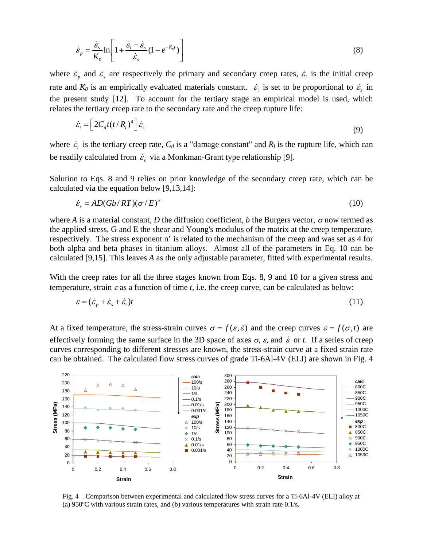$$
\dot{\varepsilon}_p = \frac{\dot{\varepsilon}_s}{K_0} \ln \left[ 1 + \frac{\dot{\varepsilon}_i - \dot{\varepsilon}_s}{\dot{\varepsilon}_s} (1 - e^{-K_0 t}) \right]
$$
\n(8)

where  $\dot{\varepsilon}_p$  and  $\dot{\varepsilon}_s$  are respectively the primary and secondary creep rates,  $\dot{\varepsilon}_i$  is the initial creep rate and  $K_0$  is an empirically evaluated materials constant.  $\dot{\varepsilon}_i$  is set to be proportional to  $\dot{\varepsilon}_s$  in the present study [12]. To account for the tertiary stage an empirical model is used, which relates the tertiary creep rate to the secondary rate and the creep rupture life:

$$
\dot{\varepsilon}_t = \left[2C_d t (t/R_l)^4\right] \dot{\varepsilon}_s \tag{9}
$$

where  $\dot{\varepsilon}_t$  is the tertiary creep rate,  $C_d$  is a "damage constant" and  $R_l$  is the rupture life, which can be readily calculated from  $\dot{\varepsilon}_s$  via a Monkman-Grant type relationship [9].

Solution to Eqs. 8 and 9 relies on prior knowledge of the secondary creep rate, which can be calculated via the equation below [9,13,14]:

$$
\dot{\varepsilon}_s = AD(Gb/RT)(\sigma/E)^{n'} \tag{10}
$$

where *A* is a material constant, *D* the diffusion coefficient, *b* the Burgers vector,  $\sigma$  now termed as the applied stress, G and E the shear and Young's modulus of the matrix at the creep temperature, respectively. The stress exponent n' is related to the mechanism of the creep and was set as 4 for both alpha and beta phases in titanium alloys. Almost all of the parameters in Eq. 10 can be calculated [9,15]. This leaves *A* as the only adjustable parameter, fitted with experimental results.

With the creep rates for all the three stages known from Eqs. 8, 9 and 10 for a given stress and temperature, strain  $\varepsilon$  as a function of time *t*, i.e. the creep curve, can be calculated as below:

$$
\varepsilon = (\dot{\varepsilon}_p + \dot{\varepsilon}_s + \dot{\varepsilon}_t)t \tag{11}
$$

At a fixed temperature, the stress-strain curves  $\sigma = f(\varepsilon, \dot{\varepsilon})$  and the creep curves  $\varepsilon = f(\sigma, t)$  are effectively forming the same surface in the 3D space of axes  $\sigma$ ,  $\varepsilon$ , and  $\dot{\varepsilon}$  or  $t$ . If a series of creep curves corresponding to different stresses are known, the stress-strain curve at a fixed strain rate can be obtained. The calculated flow stress curves of grade Ti-6Al-4V (ELI) are shown in Fig. 4



Fig. 4 . Comparison between experimental and calculated flow stress curves for a Ti-6Al-4V (ELI) alloy at (a) 950ºC with various strain rates, and (b) various temperatures with strain rate 0.1/s.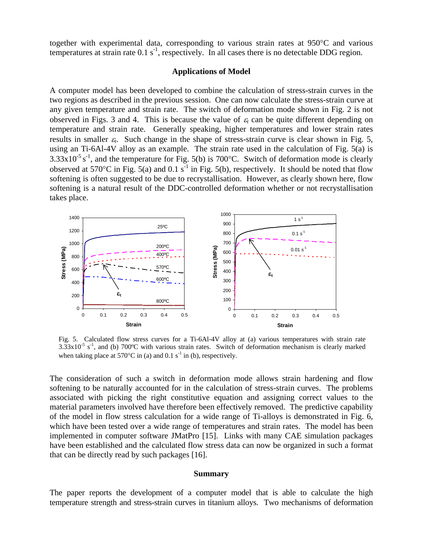together with experimental data, corresponding to various strain rates at 950°C and various temperatures at strain rate  $0.1 \text{ s}^{-1}$ , respectively. In all cases there is no detectable DDG region.

## **Applications of Model**

A computer model has been developed to combine the calculation of stress-strain curves in the two regions as described in the previous session. One can now calculate the stress-strain curve at any given temperature and strain rate. The switch of deformation mode shown in Fig. 2 is not observed in Figs. 3 and 4. This is because the value of  $\varepsilon_t$  can be quite different depending on temperature and strain rate. Generally speaking, higher temperatures and lower strain rates results in smaller  $\varepsilon_t$ . Such change in the shape of stress-strain curve is clear shown in Fig. 5, using an Ti-6Al-4V alloy as an example. The strain rate used in the calculation of Fig. 5(a) is  $3.33 \times 10^{-5}$  s<sup>-1</sup>, and the temperature for Fig. 5(b) is 700°C. Switch of deformation mode is clearly observed at 570°C in Fig. 5(a) and 0.1 s<sup>-1</sup> in Fig. 5(b), respectively. It should be noted that flow softening is often suggested to be due to recrystallisation. However, as clearly shown here, flow softening is a natural result of the DDC-controlled deformation whether or not recrystallisation takes place.



Fig. 5. Calculated flow stress curves for a Ti-6Al-4V alloy at (a) various temperatures with strain rate  $3.33 \times 10^{-5}$  s<sup>-1</sup>, and (b) 700°C with various strain rates. Switch of deformation mechanism is clearly marked when taking place at 570 $\degree$ C in (a) and 0.1 s<sup>-1</sup> in (b), respectively.

The consideration of such a switch in deformation mode allows strain hardening and flow softening to be naturally accounted for in the calculation of stress-strain curves. The problems associated with picking the right constitutive equation and assigning correct values to the material parameters involved have therefore been effectively removed. The predictive capability of the model in flow stress calculation for a wide range of Ti-alloys is demonstrated in Fig. 6, which have been tested over a wide range of temperatures and strain rates. The model has been implemented in computer software JMatPro [15]. Links with many CAE simulation packages have been established and the calculated flow stress data can now be organized in such a format that can be directly read by such packages [16].

#### **Summary**

The paper reports the development of a computer model that is able to calculate the high temperature strength and stress-strain curves in titanium alloys. Two mechanisms of deformation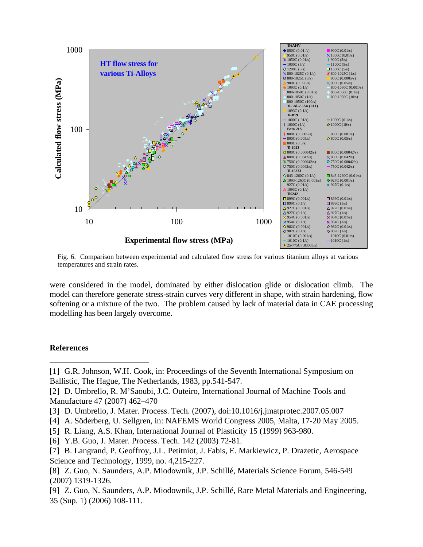

Fig. 6. Comparison between experimental and calculated flow stress for various titanium alloys at various temperatures and strain rates.

were considered in the model, dominated by either dislocation glide or dislocation climb. The model can therefore generate stress-strain curves very different in shape, with strain hardening, flow softening or a mixture of the two. The problem caused by lack of material data in CAE processing modelling has been largely overcome.

#### **References**

 $\overline{\phantom{a}}$ 

- [1] G.R. Johnson, W.H. Cook, in: Proceedings of the Seventh International Symposium on Ballistic, The Hague, The Netherlands, 1983, pp.541-547.
- [2] D. Umbrello, R. M'Saoubi, J.C. Outeiro, International Journal of Machine Tools and Manufacture 47 (2007) 462–470
- [3] D. Umbrello, J. Mater. Process. Tech. (2007), doi:10.1016/j.jmatprotec.2007.05.007
- [4] A. Söderberg, U. Sellgren, in: NAFEMS World Congress 2005, Malta, 17-20 May 2005.
- [5] R. Liang, A.S. Khan, International Journal of Plasticity 15 (1999) 963-980.
- [6] Y.B. Guo, J. Mater. Process. Tech. 142 (2003) 72-81.
- [7] B. Langrand, P. Geoffroy, J.L. Petitniot, J. Fabis, E. Markiewicz, P. Drazetic, Aerospace Science and Technology, 1999, no. 4,215-227.
- [8] Z. Guo, N. Saunders, A.P. Miodownik, J.P. Schillé, Materials Science Forum, 546-549 (2007) 1319-1326.
- [9] Z. Guo, N. Saunders, A.P. Miodownik, J.P. Schillé, Rare Metal Materials and Engineering, 35 (Sup. 1) (2006) 108-111.